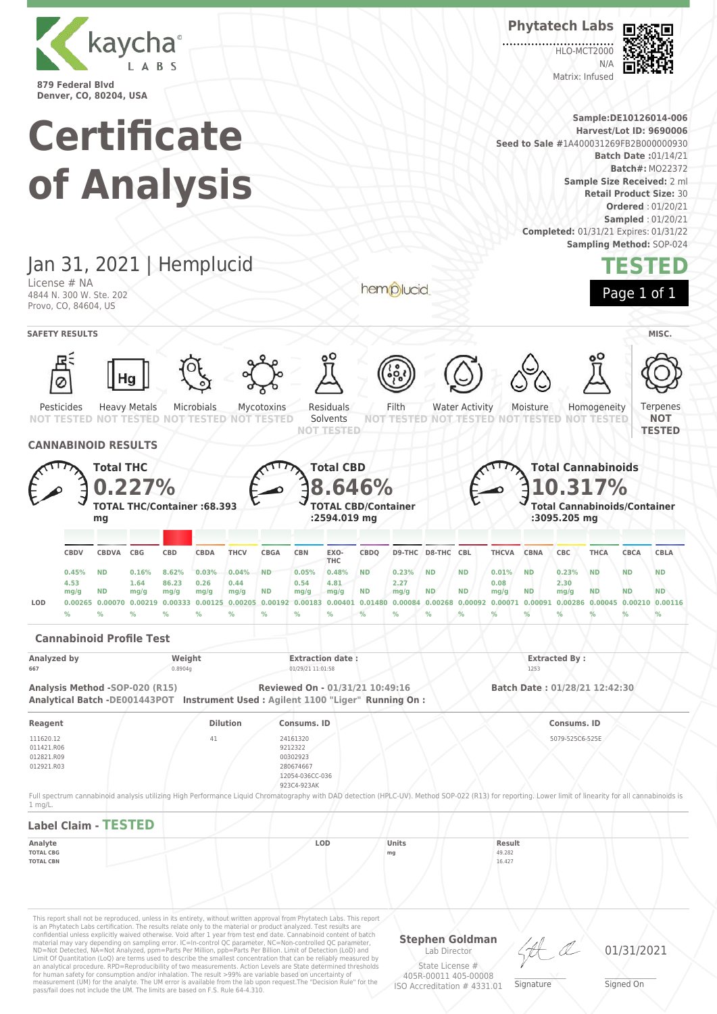

**Phytatech Labs**

HLO-MCT2000  $N/L$ Matrix: Infused



**Batch#:** MO22372

**TESTED**

Ternenes **NOT TESTED**

**Sample:DE10126014-006 Certificate Harvest/Lot ID: 9690006 Seed to Sale #**1A400031269FB2B000000930 **Batch Date :**01/14/21 **of Analysis Sample Size Received:** 2 ml **Retail Product Size:** 30 **Ordered** : 01/20/21 **Sampled** : 01/20/21 **Completed:** 01/31/21 Expires: 01/31/22 **Sampling Method:** SOP-024 Jan 31, 2021 | Hemplucid License # NA hemplucid Page 1 of 1 4844 N. 300 W. Ste. 202 Provo, CO, 84604, US **SAFETY RESULTS MISC.** Ø Microbials Residuals Filth Water Activity Pesticides Heavy Metals Mycotoxins Moisture Homogeneity **NOT TESTED TESTED NOT TESTED** NOT **NOT TESTED** Solvents **TESTED NOT NOT TESTED NOT TESTED NOT TESTED NOT TESTED CANNABINOID RESULTS Total CBD Total THC Total Cannabinoids 0.227% 10.317% 8.646% TOTAL THC/Container :68.393 TOTAL CBD/Container Total Cannabinoids/Container :2594.019 mg mg :3095.205 mg CBDQ D9-THC D8-THC CBL THCVA CBNA CBC THCA CBCA CBLA CBDV CBDVA CBG CBD CBDA THCV CBGA CBN EXO-THC 0.45% ND 0.16% 8.62% 0.03% 0.04% ND 0.05% 0.48% ND 0.23% ND ND 0.01% ND 0.23% ND ND ND 4.53 1.64 86.23 0.26 0.44 0.54 4.81 2.27 0.08 2.30 mg/g ND mg/g ND mg/g ND mg/g ND ND mg/g ND mg/g ND ND ND mg/g mg/g mg/g mg/g** LOD 0.00265 0.00070 0.00219 0.00333 0.00125 0.00205 0.00192 0.00183 0.00401 0.01480 0.00084 0.00268 0.00092 0.00071 0.00091 0.00286 0.00045 0.00210 0.00116 **% % % % % % % % % % % % % % % % % % % Cannabinoid Profile Test** Analyzed by **Weight Extraction date : Extraction date : Extracted By : Extracted By : Extracted By** : **667** 0.8904g 01/29/21 11:01:58 1253

**Analysis Method -SOP-020 (R15) Reviewed On - 01/31/21 10:49:16 Batch Date : 01/28/21 12:42:30**

**Reagent Dilution Consums. ID Consums. ID** 111620.12 011421.R06 012821.R09 012921.R03 41 24161320 9212322 00302923 280674667 12054-036CC-036 923C4-923AK 5079-525C6-525E Full spectrum cannabinoid analysis utilizing High Performance Liquid Chromatography with DAD detection (HPLC-UV). Method SOP-022 (R13) for reporting. Lower limit of linearity for all cannabinoids is

| $1$ mg/L.                   |  |            |       |        |  |
|-----------------------------|--|------------|-------|--------|--|
| <b>Label Claim - TESTED</b> |  |            |       |        |  |
| Analyte                     |  | <b>LOD</b> | Units | Result |  |
| <b>TOTAL CBG</b>            |  |            | mg    | 49.282 |  |
| <b>TOTAL CBN</b>            |  |            |       | 16.427 |  |
|                             |  |            |       |        |  |
|                             |  |            |       |        |  |
|                             |  |            |       |        |  |

This report shall not be reproduced, unless in its entirety, without written approval from Phytatech Labs. This report is an Phytatech Labs certification. The results relate only to the material or product analyzed. Test results are<br>confidential unless explicitly waived otherwise. Void after 1 year from test end date. Cannabinoid content o Limit Of Quantitation (LoQ) are terms used to describe the smallest concentration that can be reliably measured by an analytical procedure. RPD=Reproducibility of two measurements. Action Levels are State determined thresholds for human safety for consumption and/or inhalation. The result >99% are variable based on uncertainty of measurement (UM) for the analyte. The UM error is available from the lab upon request.The "Decision Rule" for the pass/fail does not include the UM. The limits are based on F.S. Rule 64-4.310.

**Analytical Batch -DE001443POT Instrument Used : Agilent 1100 "Liger" Running On :**

**Stephen Goldman** Lab Director State License # 405R-00011 405-00008

ISO Accreditation # 4331.01

\_\_\_\_\_\_\_\_\_\_\_\_\_\_\_\_\_\_\_ Signature

01/31/2021

\_\_\_\_\_\_\_\_\_\_\_\_\_\_\_\_\_\_\_ Signed On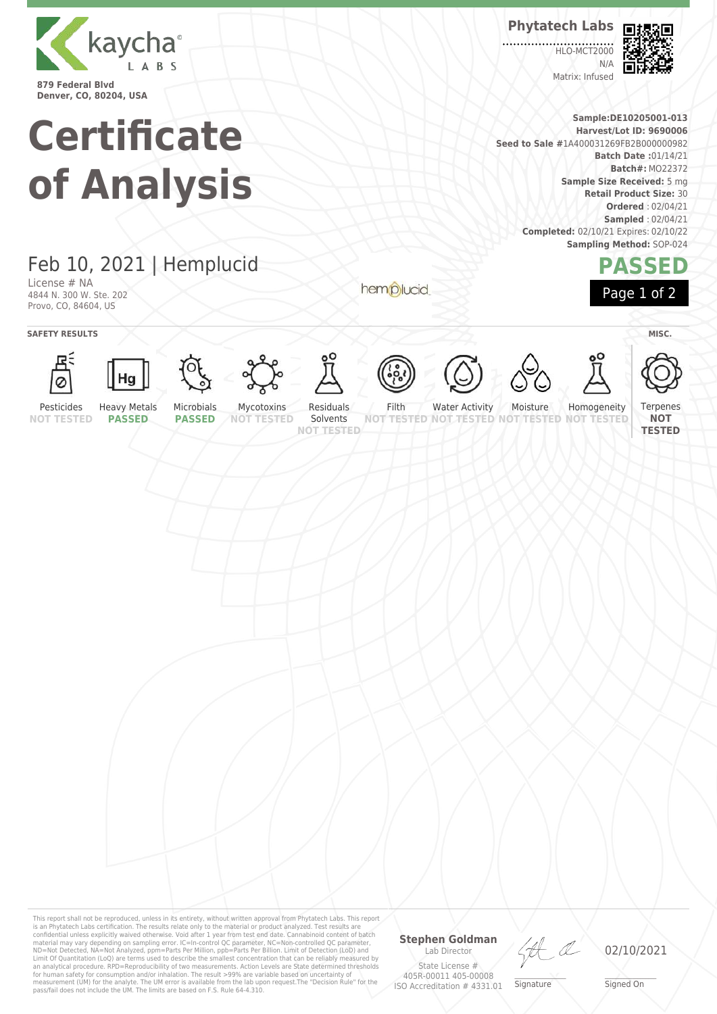

**Denver, CO, 80204, USA**

# **Certificate of Analysis**

**Phytatech Labs**

**HLO-MCT2000**  $N/L$ Matrix: Infused



**Sample:DE10205001-013 Harvest/Lot ID: 9690006 Seed to Sale #**1A400031269FB2B000000982 **Batch Date :**01/14/21 **Batch#:** MO22372 **Sample Size Received:** 5 mg **Retail Product Size:** 30 **Ordered** : 02/04/21 **Sampled** : 02/04/21 **Completed:** 02/10/21 Expires: 02/10/22 **Sampling Method:** SOP-024



Feb 10, 2021 | Hemplucid

License # NA 4844 N. 300 W. Ste. 202 Provo, CO, 84604, US

**SAFETY RESULTS** MISC.





















hemplucid









Terpenes

**NOT TESTED**

**NOT TESTED**

Solvents **NOT TESTED**

Water Activity

**TESTED NOT** Homogeneity **NOT TESTED**

**NOT TESTED**

Pesticides **PASSED**

Filth

**NOT TESTED NOT TESTED**

Moisture

This report shall not be reproduced, unless in its entirety, without written approval from Phytatech Labs. This report<br>is an Phytatech Labs certification. The results relate only to the material or product analyzed. Test

### **Stephen Goldman** Lab Director

State License # 405R-00011 405-00008 ISO Accreditation # 4331.01

LA

\_\_\_\_\_\_\_\_\_\_\_\_\_\_\_\_\_\_\_ Signature

02/10/2021

\_\_\_\_\_\_\_\_\_\_\_\_\_\_\_\_\_\_\_ Signed On